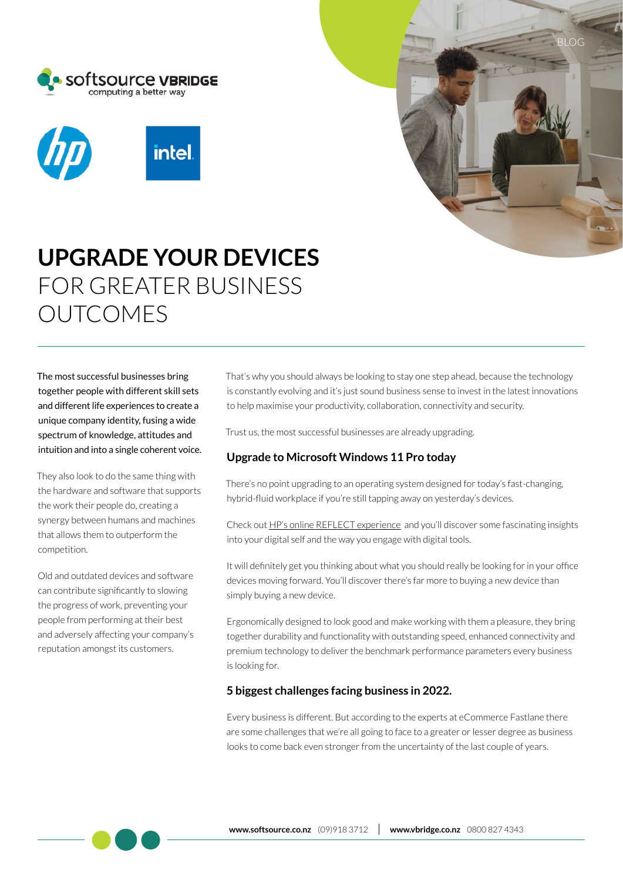





# **UPGRADE YOUR DEVICES**  FOR GREATER BUSINESS OUTCOMES

The most successful businesses bring together people with different skill sets and different life experiences to create a unique company identity, fusing a wide spectrum of knowledge, attitudes and intuition and into a single coherent voice.

They also look to do the same thing with the hardware and software that supports the work their people do, creating a synergy between humans and machines that allows them to outperform the competition.

Old and outdated devices and software can contribute significantly to slowing the progress of work, preventing your people from performing at their best and adversely affecting your company's reputation amongst its customers.

That's why you should always be looking to stay one step ahead, because the technology is constantly evolving and it's just sound business sense to invest in the latest innovations to help maximise your productivity, collaboration, connectivity and security.

Trust us, the most successful businesses are already upgrading.

### **Upgrade to Microsoft Windows 11 Pro today**

There's no point upgrading to an operating system designed for today's fast-changing, hybrid-fluid workplace if you're still tapping away on yesterday's devices.

Check out [HP's online REFLECT experience](https://sites.hp.com/campaign/reflct/au-en/index.html) and you'll discover some fascinating insights into your digital self and the way you engage with digital tools.

It will definitely get you thinking about what you should really be looking for in your office devices moving forward. You'll discover there's far more to buying a new device than simply buying a new device.

Ergonomically designed to look good and make working with them a pleasure, they bring together durability and functionality with outstanding speed, enhanced connectivity and premium technology to deliver the benchmark performance parameters every business is looking for.

#### **5 biggest challenges facing business in 2022.**

Every business is different. But according to the experts at eCommerce Fastlane there are some challenges that we're all going to face to a greater or lesser degree as business looks to come back even stronger from the uncertainty of the last couple of years.